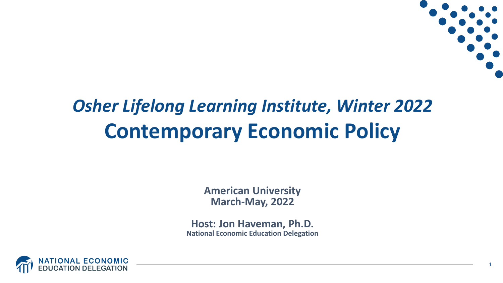

1

### *Osher Lifelong Learning Institute, Winter 2022* **Contemporary Economic Policy**

**American University March-May, 2022**

**Host: Jon Haveman, Ph.D. National Economic Education Delegation**

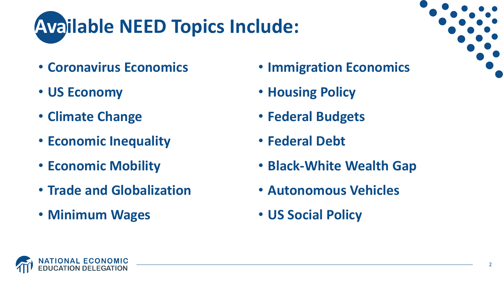

- **Coronavirus Economics**
- **US Economy**
- **Climate Change**
- **Economic Inequality**
- **Economic Mobility**
- **Trade and Globalization**
- **Minimum Wages**
- **Immigration Economics**
- **Housing Policy**
- **Federal Budgets**
- **Federal Debt**
- **Black-White Wealth Gap**
- **Autonomous Vehicles**
- **US Social Policy**



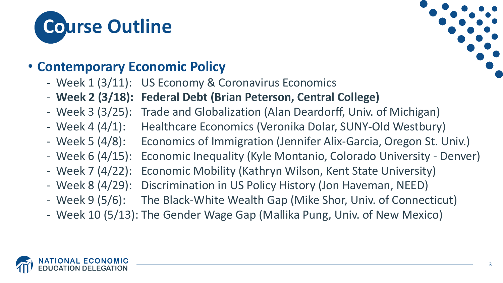

#### • **Contemporary Economic Policy**

- Week 1 (3/11): US Economy & Coronavirus Economics
- **Week 2 (3/18): Federal Debt (Brian Peterson, Central College)**
- Week 3 (3/25): Trade and Globalization (Alan Deardorff, Univ. of Michigan)
- Week 4 (4/1): Healthcare Economics (Veronika Dolar, SUNY-Old Westbury)
- Week 5 (4/8): Economics of Immigration (Jennifer Alix-Garcia, Oregon St. Univ.)
- Week 6 (4/15): Economic Inequality (Kyle Montanio, Colorado University Denver)
- Week 7 (4/22): Economic Mobility (Kathryn Wilson, Kent State University)
- Week 8 (4/29): Discrimination in US Policy History (Jon Haveman, NEED)
- Week 9 (5/6): The Black-White Wealth Gap (Mike Shor, Univ. of Connecticut)
- Week 10 (5/13): The Gender Wage Gap (Mallika Pung, Univ. of New Mexico)



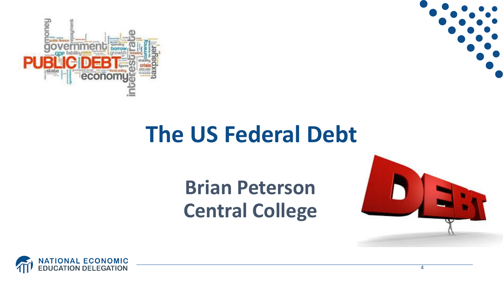



## **The US Federal Debt**

#### **Brian Peterson Central College**



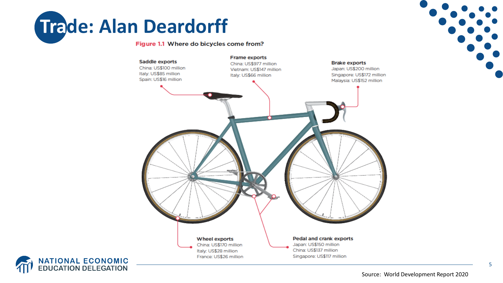

#### Figure 1.1 Where do bicycles come from?